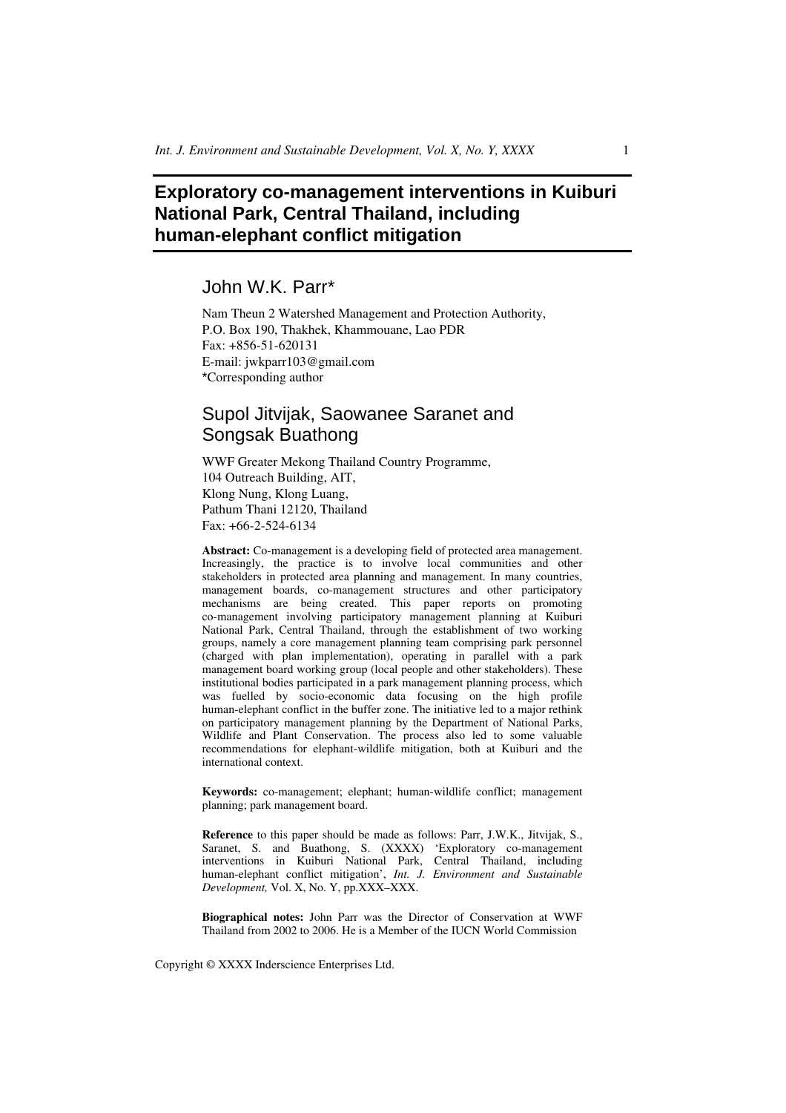# **Exploratory co-management interventions in Kuiburi National Park, Central Thailand, including human-elephant conflict mitigation**

# John W.K. Parr\*

Nam Theun 2 Watershed Management and Protection Authority, P.O. Box 190, Thakhek, Khammouane, Lao PDR Fax: +856-51-620131 E-mail: jwkparr103@gmail.com \*Corresponding author

# Supol Jitvijak, Saowanee Saranet and Songsak Buathong

WWF Greater Mekong Thailand Country Programme, 104 Outreach Building, AIT, Klong Nung, Klong Luang, Pathum Thani 12120, Thailand Fax: +66-2-524-6134

**Abstract:** Co-management is a developing field of protected area management. Increasingly, the practice is to involve local communities and other stakeholders in protected area planning and management. In many countries, management boards, co-management structures and other participatory mechanisms are being created. This paper reports on promoting co-management involving participatory management planning at Kuiburi National Park, Central Thailand, through the establishment of two working groups, namely a core management planning team comprising park personnel (charged with plan implementation), operating in parallel with a park management board working group (local people and other stakeholders). These institutional bodies participated in a park management planning process, which was fuelled by socio-economic data focusing on the high profile human-elephant conflict in the buffer zone. The initiative led to a major rethink on participatory management planning by the Department of National Parks, Wildlife and Plant Conservation. The process also led to some valuable recommendations for elephant-wildlife mitigation, both at Kuiburi and the international context.

**Keywords:** co-management; elephant; human-wildlife conflict; management planning; park management board.

**Reference** to this paper should be made as follows: Parr, J.W.K., Jitvijak, S., Saranet, S. and Buathong, S. (XXXX) 'Exploratory co-management interventions in Kuiburi National Park, Central Thailand, including human-elephant conflict mitigation', *Int. J. Environment and Sustainable Development,* Vol. X, No. Y, pp.XXX–XXX.

**Biographical notes:** John Parr was the Director of Conservation at WWF Thailand from 2002 to 2006. He is a Member of the IUCN World Commission

Copyright © XXXX Inderscience Enterprises Ltd.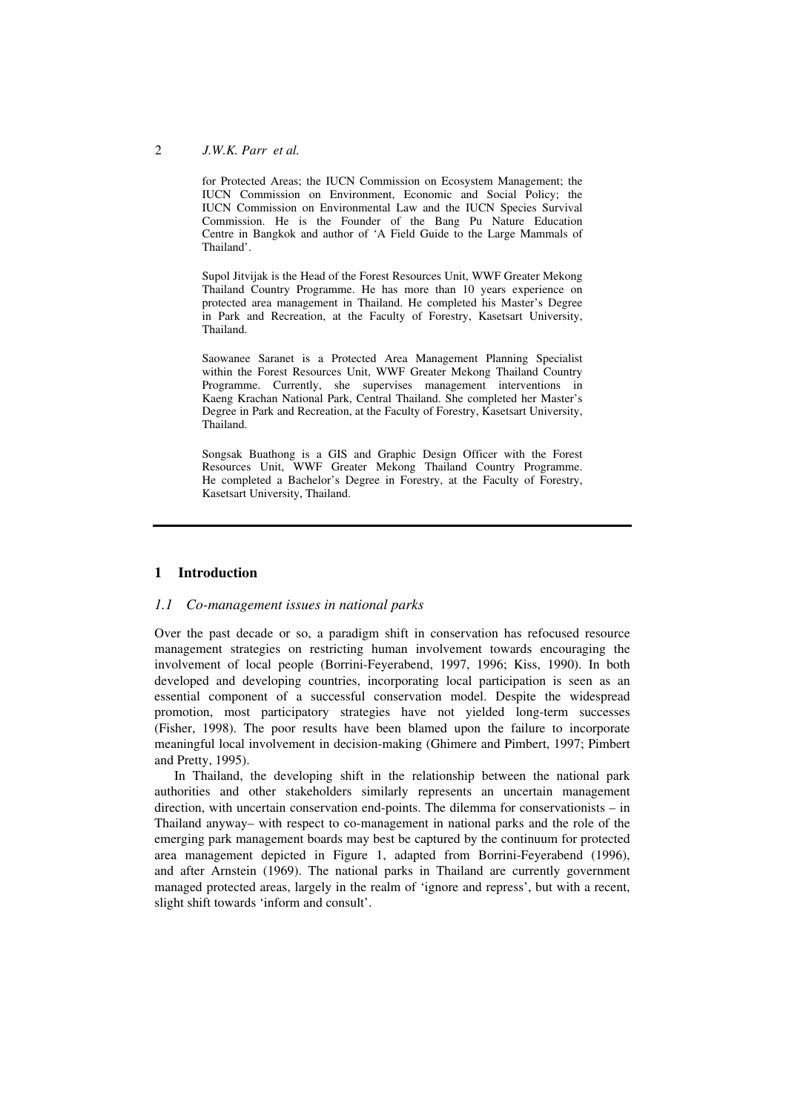for Protected Areas; the IUCN Commission on Ecosystem Management; the IUCN Commission on Environment, Economic and Social Policy; the IUCN Commission on Environmental Law and the IUCN Species Survival Commission. He is the Founder of the Bang Pu Nature Education Centre in Bangkok and author of 'A Field Guide to the Large Mammals of Thailand'.

Supol Jitvijak is the Head of the Forest Resources Unit, WWF Greater Mekong Thailand Country Programme. He has more than 10 years experience on protected area management in Thailand. He completed his Master's Degree in Park and Recreation, at the Faculty of Forestry, Kasetsart University, Thailand.

Saowanee Saranet is a Protected Area Management Planning Specialist within the Forest Resources Unit, WWF Greater Mekong Thailand Country Programme. Currently, she supervises management interventions in Kaeng Krachan National Park, Central Thailand. She completed her Master's Degree in Park and Recreation, at the Faculty of Forestry, Kasetsart University, Thailand.

Songsak Buathong is a GIS and Graphic Design Officer with the Forest Resources Unit, WWF Greater Mekong Thailand Country Programme. He completed a Bachelor's Degree in Forestry, at the Faculty of Forestry, Kasetsart University, Thailand.

# **1 Introduction**

### *1.1 Co-management issues in national parks*

Over the past decade or so, a paradigm shift in conservation has refocused resource management strategies on restricting human involvement towards encouraging the involvement of local people (Borrini-Feyerabend, 1997, 1996; Kiss, 1990). In both developed and developing countries, incorporating local participation is seen as an essential component of a successful conservation model. Despite the widespread promotion, most participatory strategies have not yielded long-term successes (Fisher, 1998). The poor results have been blamed upon the failure to incorporate meaningful local involvement in decision-making (Ghimere and Pimbert, 1997; Pimbert and Pretty, 1995).

In Thailand, the developing shift in the relationship between the national park authorities and other stakeholders similarly represents an uncertain management direction, with uncertain conservation end-points. The dilemma for conservationists – in Thailand anyway– with respect to co-management in national parks and the role of the emerging park management boards may best be captured by the continuum for protected area management depicted in Figure 1, adapted from Borrini-Feyerabend (1996), and after Arnstein (1969). The national parks in Thailand are currently government managed protected areas, largely in the realm of 'ignore and repress', but with a recent, slight shift towards 'inform and consult'.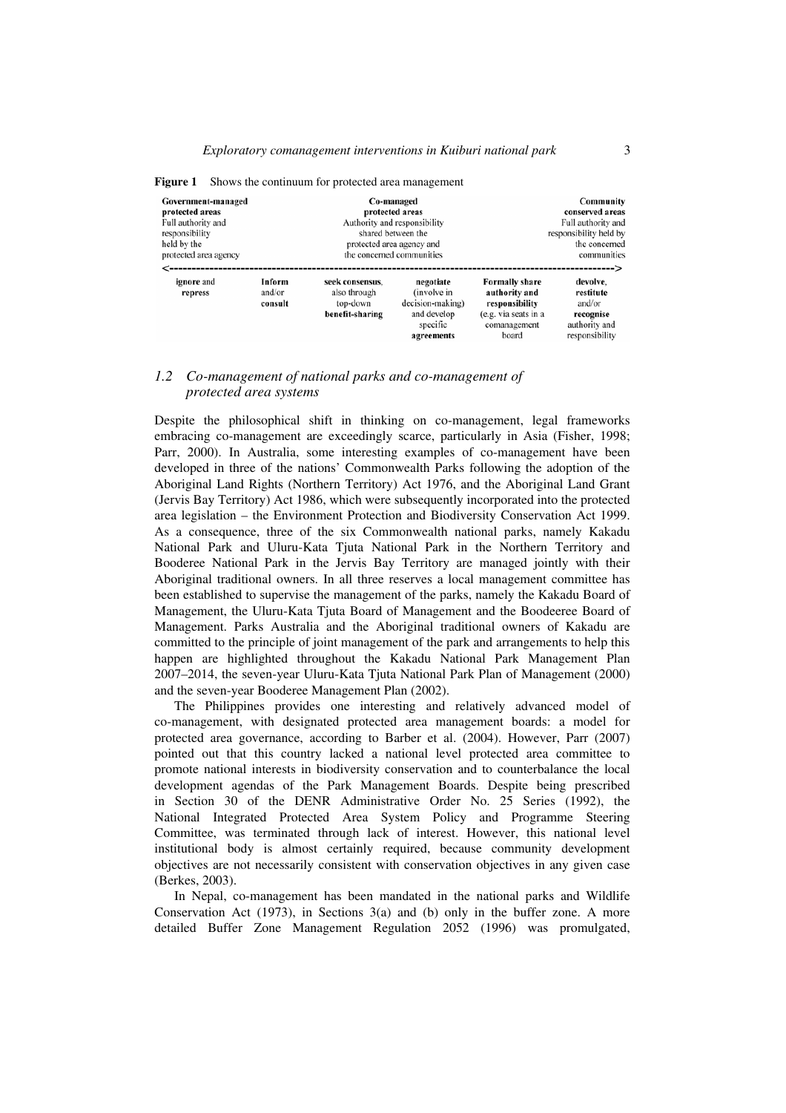| Government-managed<br>protected areas<br>Full authority and<br>responsibility<br>held by the<br>protected area agency |                             | Co-managed<br>protected areas<br>Authority and responsibility<br>shared between the<br>protected area agency and<br>the concerned communities |                                                                                       | Community<br>conserved areas<br>Full authority and<br>responsibility held by<br>the concerned<br>communities |                                                                                 |
|-----------------------------------------------------------------------------------------------------------------------|-----------------------------|-----------------------------------------------------------------------------------------------------------------------------------------------|---------------------------------------------------------------------------------------|--------------------------------------------------------------------------------------------------------------|---------------------------------------------------------------------------------|
| ignore and<br>repress                                                                                                 | Inform<br>and/or<br>consult | seek consensus.<br>also through<br>top-down<br>benefit-sharing                                                                                | negotiate<br>(involve in<br>decision-making)<br>and develop<br>specific<br>agreements | <b>Formally share</b><br>authority and<br>responsibility<br>(e.g. via seats in a<br>comanagement<br>board    | devolve.<br>restitute<br>and/or<br>recognise<br>authority and<br>responsibility |

| Figure 1 |  | Shows the continuum for protected area management |
|----------|--|---------------------------------------------------|
|----------|--|---------------------------------------------------|

### *1.2 Co-management of national parks and co-management of protected area systems*

Despite the philosophical shift in thinking on co-management, legal frameworks embracing co-management are exceedingly scarce, particularly in Asia (Fisher, 1998; Parr, 2000). In Australia, some interesting examples of co-management have been developed in three of the nations' Commonwealth Parks following the adoption of the Aboriginal Land Rights (Northern Territory) Act 1976, and the Aboriginal Land Grant (Jervis Bay Territory) Act 1986, which were subsequently incorporated into the protected area legislation – the Environment Protection and Biodiversity Conservation Act 1999. As a consequence, three of the six Commonwealth national parks, namely Kakadu National Park and Uluru-Kata Tjuta National Park in the Northern Territory and Booderee National Park in the Jervis Bay Territory are managed jointly with their Aboriginal traditional owners. In all three reserves a local management committee has been established to supervise the management of the parks, namely the Kakadu Board of Management, the Uluru-Kata Tjuta Board of Management and the Boodeeree Board of Management. Parks Australia and the Aboriginal traditional owners of Kakadu are committed to the principle of joint management of the park and arrangements to help this happen are highlighted throughout the Kakadu National Park Management Plan 2007–2014, the seven-year Uluru-Kata Tjuta National Park Plan of Management (2000) and the seven-year Booderee Management Plan (2002).

The Philippines provides one interesting and relatively advanced model of co-management, with designated protected area management boards: a model for protected area governance, according to Barber et al. (2004). However, Parr (2007) pointed out that this country lacked a national level protected area committee to promote national interests in biodiversity conservation and to counterbalance the local development agendas of the Park Management Boards. Despite being prescribed in Section 30 of the DENR Administrative Order No. 25 Series (1992), the National Integrated Protected Area System Policy and Programme Steering Committee, was terminated through lack of interest. However, this national level institutional body is almost certainly required, because community development objectives are not necessarily consistent with conservation objectives in any given case (Berkes, 2003).

In Nepal, co-management has been mandated in the national parks and Wildlife Conservation Act  $(1973)$ , in Sections 3(a) and (b) only in the buffer zone. A more detailed Buffer Zone Management Regulation 2052 (1996) was promulgated,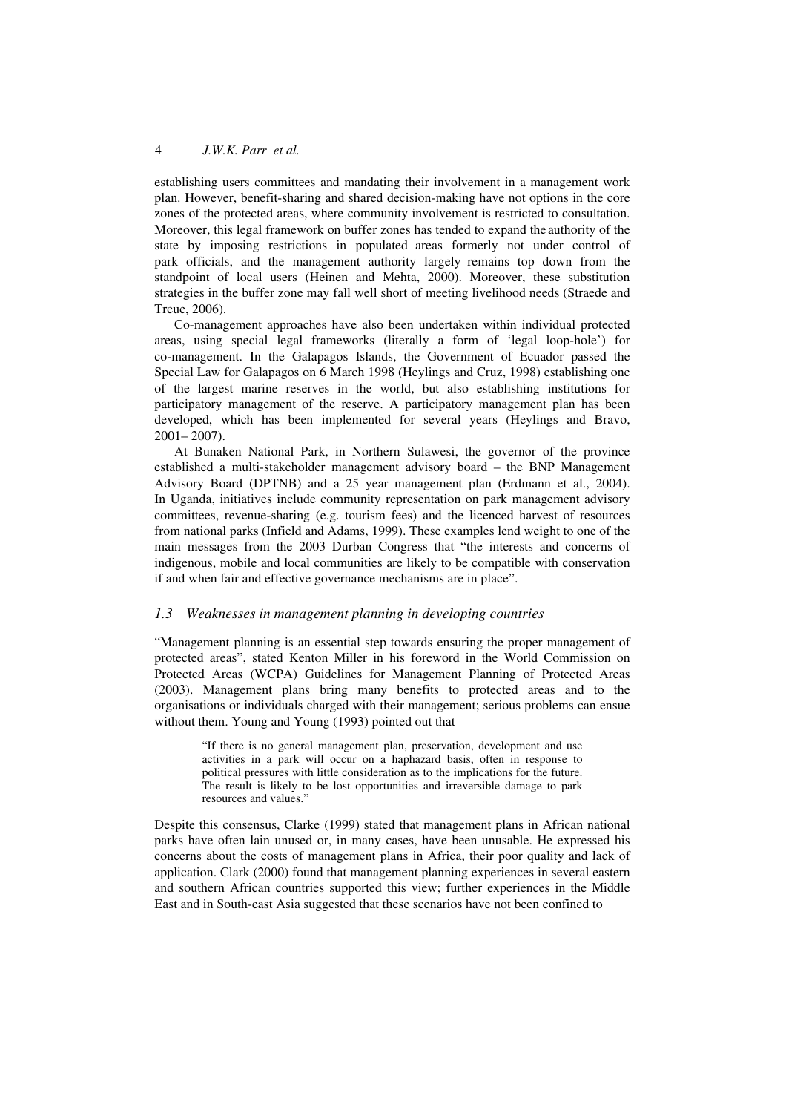establishing users committees and mandating their involvement in a management work plan. However, benefit-sharing and shared decision-making have not options in the core zones of the protected areas, where community involvement is restricted to consultation. Moreover, this legal framework on buffer zones has tended to expand the authority of the state by imposing restrictions in populated areas formerly not under control of park officials, and the management authority largely remains top down from the standpoint of local users (Heinen and Mehta, 2000). Moreover, these substitution strategies in the buffer zone may fall well short of meeting livelihood needs (Straede and Treue, 2006).

Co-management approaches have also been undertaken within individual protected areas, using special legal frameworks (literally a form of 'legal loop-hole') for co-management. In the Galapagos Islands, the Government of Ecuador passed the Special Law for Galapagos on 6 March 1998 (Heylings and Cruz, 1998) establishing one of the largest marine reserves in the world, but also establishing institutions for participatory management of the reserve. A participatory management plan has been developed, which has been implemented for several years (Heylings and Bravo, 2001– 2007).

At Bunaken National Park, in Northern Sulawesi, the governor of the province established a multi-stakeholder management advisory board – the BNP Management Advisory Board (DPTNB) and a 25 year management plan (Erdmann et al., 2004). In Uganda, initiatives include community representation on park management advisory committees, revenue-sharing (e.g. tourism fees) and the licenced harvest of resources from national parks (Infield and Adams, 1999). These examples lend weight to one of the main messages from the 2003 Durban Congress that "the interests and concerns of indigenous, mobile and local communities are likely to be compatible with conservation if and when fair and effective governance mechanisms are in place".

### *1.3 Weaknesses in management planning in developing countries*

"Management planning is an essential step towards ensuring the proper management of protected areas", stated Kenton Miller in his foreword in the World Commission on Protected Areas (WCPA) Guidelines for Management Planning of Protected Areas (2003). Management plans bring many benefits to protected areas and to the organisations or individuals charged with their management; serious problems can ensue without them. Young and Young (1993) pointed out that

"If there is no general management plan, preservation, development and use activities in a park will occur on a haphazard basis, often in response to political pressures with little consideration as to the implications for the future. The result is likely to be lost opportunities and irreversible damage to park resources and values."

Despite this consensus, Clarke (1999) stated that management plans in African national parks have often lain unused or, in many cases, have been unusable. He expressed his concerns about the costs of management plans in Africa, their poor quality and lack of application. Clark (2000) found that management planning experiences in several eastern and southern African countries supported this view; further experiences in the Middle East and in South-east Asia suggested that these scenarios have not been confined to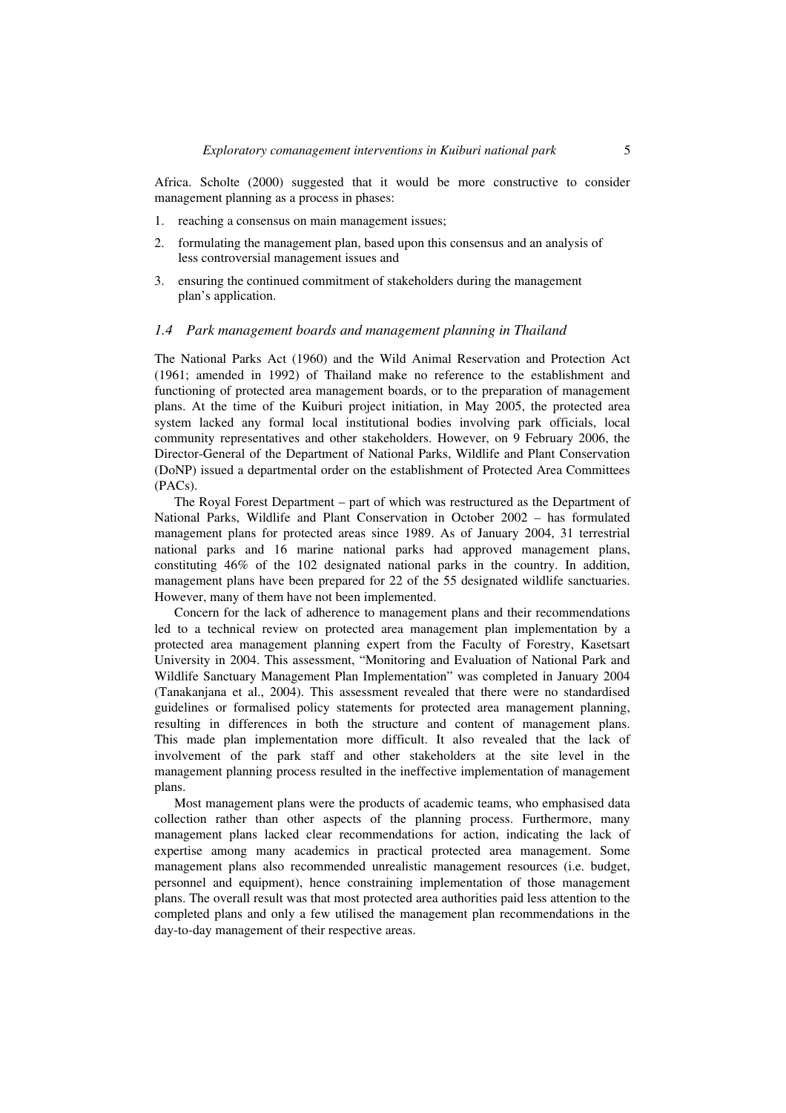Africa. Scholte (2000) suggested that it would be more constructive to consider management planning as a process in phases:

- 1. reaching a consensus on main management issues;
- 2. formulating the management plan, based upon this consensus and an analysis of less controversial management issues and
- 3. ensuring the continued commitment of stakeholders during the management plan's application.

### *1.4 Park management boards and management planning in Thailand*

The National Parks Act (1960) and the Wild Animal Reservation and Protection Act (1961; amended in 1992) of Thailand make no reference to the establishment and functioning of protected area management boards, or to the preparation of management plans. At the time of the Kuiburi project initiation, in May 2005, the protected area system lacked any formal local institutional bodies involving park officials, local community representatives and other stakeholders. However, on 9 February 2006, the Director-General of the Department of National Parks, Wildlife and Plant Conservation (DoNP) issued a departmental order on the establishment of Protected Area Committees (PACs).

The Royal Forest Department – part of which was restructured as the Department of National Parks, Wildlife and Plant Conservation in October 2002 – has formulated management plans for protected areas since 1989. As of January 2004, 31 terrestrial national parks and 16 marine national parks had approved management plans, constituting 46% of the 102 designated national parks in the country. In addition, management plans have been prepared for 22 of the 55 designated wildlife sanctuaries. However, many of them have not been implemented.

Concern for the lack of adherence to management plans and their recommendations led to a technical review on protected area management plan implementation by a protected area management planning expert from the Faculty of Forestry, Kasetsart University in 2004. This assessment, "Monitoring and Evaluation of National Park and Wildlife Sanctuary Management Plan Implementation" was completed in January 2004 (Tanakanjana et al., 2004). This assessment revealed that there were no standardised guidelines or formalised policy statements for protected area management planning, resulting in differences in both the structure and content of management plans. This made plan implementation more difficult. It also revealed that the lack of involvement of the park staff and other stakeholders at the site level in the management planning process resulted in the ineffective implementation of management plans.

Most management plans were the products of academic teams, who emphasised data collection rather than other aspects of the planning process. Furthermore, many management plans lacked clear recommendations for action, indicating the lack of expertise among many academics in practical protected area management. Some management plans also recommended unrealistic management resources (i.e. budget, personnel and equipment), hence constraining implementation of those management plans. The overall result was that most protected area authorities paid less attention to the completed plans and only a few utilised the management plan recommendations in the day-to-day management of their respective areas.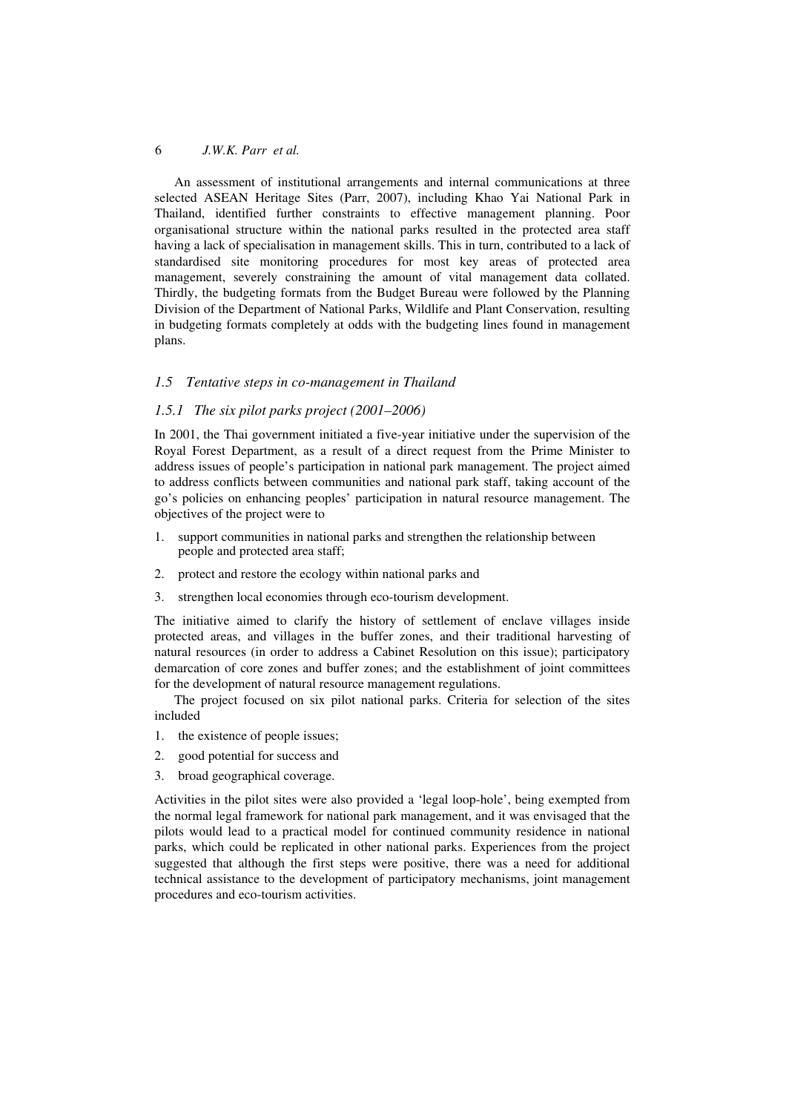An assessment of institutional arrangements and internal communications at three selected ASEAN Heritage Sites (Parr, 2007), including Khao Yai National Park in Thailand, identified further constraints to effective management planning. Poor organisational structure within the national parks resulted in the protected area staff having a lack of specialisation in management skills. This in turn, contributed to a lack of standardised site monitoring procedures for most key areas of protected area management, severely constraining the amount of vital management data collated. Thirdly, the budgeting formats from the Budget Bureau were followed by the Planning Division of the Department of National Parks, Wildlife and Plant Conservation, resulting in budgeting formats completely at odds with the budgeting lines found in management plans.

### *1.5 Tentative steps in co-management in Thailand*

### *1.5.1 The six pilot parks project (2001–2006)*

In 2001, the Thai government initiated a five-year initiative under the supervision of the Royal Forest Department, as a result of a direct request from the Prime Minister to address issues of people's participation in national park management. The project aimed to address conflicts between communities and national park staff, taking account of the go's policies on enhancing peoples' participation in natural resource management. The objectives of the project were to

- 1. support communities in national parks and strengthen the relationship between people and protected area staff;
- 2. protect and restore the ecology within national parks and
- 3. strengthen local economies through eco-tourism development.

The initiative aimed to clarify the history of settlement of enclave villages inside protected areas, and villages in the buffer zones, and their traditional harvesting of natural resources (in order to address a Cabinet Resolution on this issue); participatory demarcation of core zones and buffer zones; and the establishment of joint committees for the development of natural resource management regulations.

The project focused on six pilot national parks. Criteria for selection of the sites included

- 1. the existence of people issues;
- 2. good potential for success and
- 3. broad geographical coverage.

Activities in the pilot sites were also provided a 'legal loop-hole', being exempted from the normal legal framework for national park management, and it was envisaged that the pilots would lead to a practical model for continued community residence in national parks, which could be replicated in other national parks. Experiences from the project suggested that although the first steps were positive, there was a need for additional technical assistance to the development of participatory mechanisms, joint management procedures and eco-tourism activities.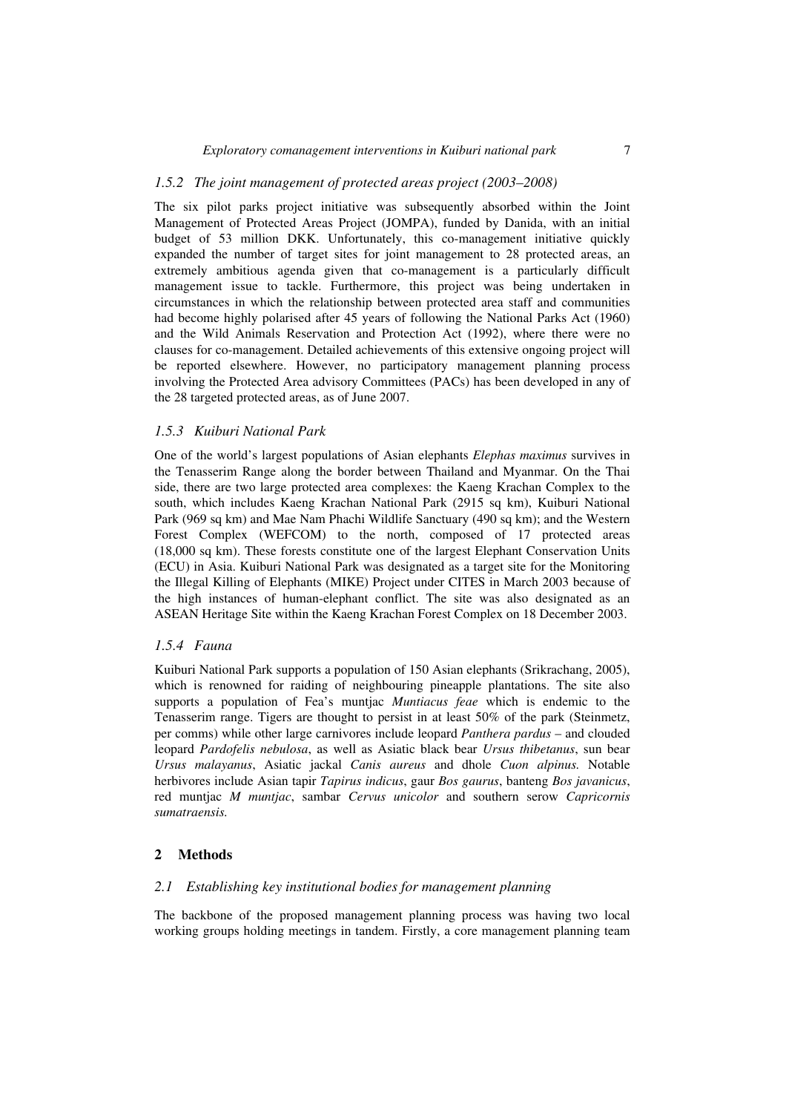### *1.5.2 The joint management of protected areas project (2003–2008)*

The six pilot parks project initiative was subsequently absorbed within the Joint Management of Protected Areas Project (JOMPA), funded by Danida, with an initial budget of 53 million DKK. Unfortunately, this co-management initiative quickly expanded the number of target sites for joint management to 28 protected areas, an extremely ambitious agenda given that co-management is a particularly difficult management issue to tackle. Furthermore, this project was being undertaken in circumstances in which the relationship between protected area staff and communities had become highly polarised after 45 years of following the National Parks Act (1960) and the Wild Animals Reservation and Protection Act (1992), where there were no clauses for co-management. Detailed achievements of this extensive ongoing project will be reported elsewhere. However, no participatory management planning process involving the Protected Area advisory Committees (PACs) has been developed in any of the 28 targeted protected areas, as of June 2007.

## *1.5.3 Kuiburi National Park*

One of the world's largest populations of Asian elephants *Elephas maximus* survives in the Tenasserim Range along the border between Thailand and Myanmar. On the Thai side, there are two large protected area complexes: the Kaeng Krachan Complex to the south, which includes Kaeng Krachan National Park (2915 sq km), Kuiburi National Park (969 sq km) and Mae Nam Phachi Wildlife Sanctuary (490 sq km); and the Western Forest Complex (WEFCOM) to the north, composed of 17 protected areas (18,000 sq km). These forests constitute one of the largest Elephant Conservation Units (ECU) in Asia. Kuiburi National Park was designated as a target site for the Monitoring the Illegal Killing of Elephants (MIKE) Project under CITES in March 2003 because of the high instances of human-elephant conflict. The site was also designated as an ASEAN Heritage Site within the Kaeng Krachan Forest Complex on 18 December 2003.

## *1.5.4 Fauna*

Kuiburi National Park supports a population of 150 Asian elephants (Srikrachang, 2005), which is renowned for raiding of neighbouring pineapple plantations. The site also supports a population of Fea's muntjac *Muntiacus feae* which is endemic to the Tenasserim range. Tigers are thought to persist in at least 50% of the park (Steinmetz, per comms) while other large carnivores include leopard *Panthera pardus* – and clouded leopard *Pardofelis nebulosa*, as well as Asiatic black bear *Ursus thibetanus*, sun bear *Ursus malayanus*, Asiatic jackal *Canis aureus* and dhole *Cuon alpinus.* Notable herbivores include Asian tapir *Tapirus indicus*, gaur *Bos gaurus*, banteng *Bos javanicus*, red muntjac *M muntjac*, sambar *Cervus unicolor* and southern serow *Capricornis sumatraensis.*

### **2 Methods**

### *2.1 Establishing key institutional bodies for management planning*

The backbone of the proposed management planning process was having two local working groups holding meetings in tandem. Firstly, a core management planning team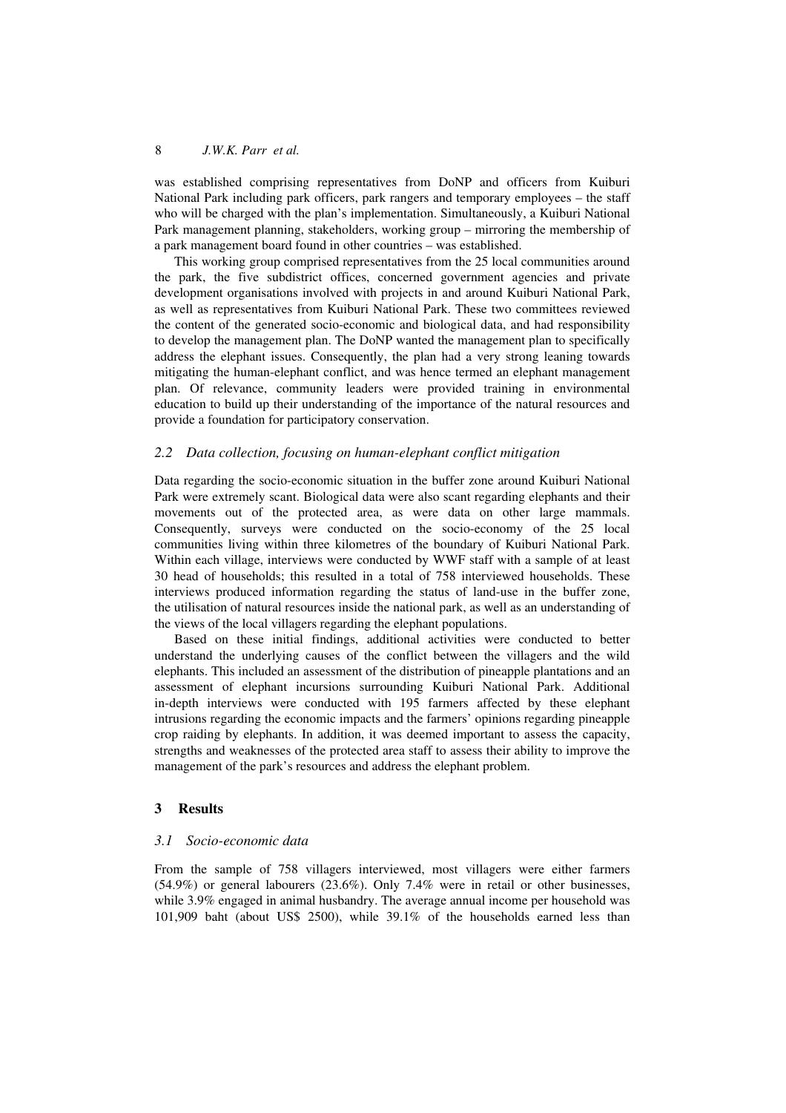was established comprising representatives from DoNP and officers from Kuiburi National Park including park officers, park rangers and temporary employees – the staff who will be charged with the plan's implementation. Simultaneously, a Kuiburi National Park management planning, stakeholders, working group – mirroring the membership of a park management board found in other countries – was established.

This working group comprised representatives from the 25 local communities around the park, the five subdistrict offices, concerned government agencies and private development organisations involved with projects in and around Kuiburi National Park, as well as representatives from Kuiburi National Park. These two committees reviewed the content of the generated socio-economic and biological data, and had responsibility to develop the management plan. The DoNP wanted the management plan to specifically address the elephant issues. Consequently, the plan had a very strong leaning towards mitigating the human-elephant conflict, and was hence termed an elephant management plan. Of relevance, community leaders were provided training in environmental education to build up their understanding of the importance of the natural resources and provide a foundation for participatory conservation.

#### *2.2 Data collection, focusing on human-elephant conflict mitigation*

Data regarding the socio-economic situation in the buffer zone around Kuiburi National Park were extremely scant. Biological data were also scant regarding elephants and their movements out of the protected area, as were data on other large mammals. Consequently, surveys were conducted on the socio-economy of the 25 local communities living within three kilometres of the boundary of Kuiburi National Park. Within each village, interviews were conducted by WWF staff with a sample of at least 30 head of households; this resulted in a total of 758 interviewed households. These interviews produced information regarding the status of land-use in the buffer zone, the utilisation of natural resources inside the national park, as well as an understanding of the views of the local villagers regarding the elephant populations.

Based on these initial findings, additional activities were conducted to better understand the underlying causes of the conflict between the villagers and the wild elephants. This included an assessment of the distribution of pineapple plantations and an assessment of elephant incursions surrounding Kuiburi National Park. Additional in-depth interviews were conducted with 195 farmers affected by these elephant intrusions regarding the economic impacts and the farmers' opinions regarding pineapple crop raiding by elephants. In addition, it was deemed important to assess the capacity, strengths and weaknesses of the protected area staff to assess their ability to improve the management of the park's resources and address the elephant problem.

# **3 Results**

#### *3.1 Socio-economic data*

From the sample of 758 villagers interviewed, most villagers were either farmers (54.9%) or general labourers (23.6%). Only 7.4% were in retail or other businesses, while 3.9% engaged in animal husbandry. The average annual income per household was 101,909 baht (about US\$ 2500), while 39.1% of the households earned less than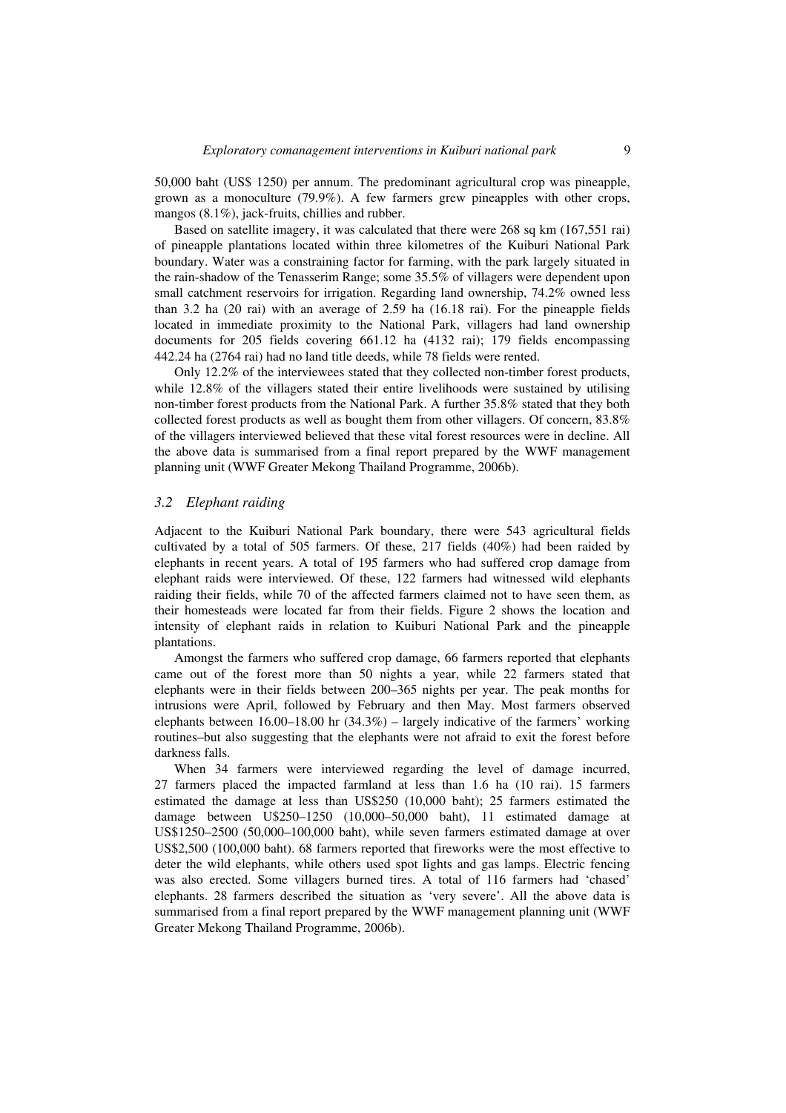50,000 baht (US\$ 1250) per annum. The predominant agricultural crop was pineapple, grown as a monoculture (79.9%). A few farmers grew pineapples with other crops, mangos (8.1%), jack-fruits, chillies and rubber.

Based on satellite imagery, it was calculated that there were 268 sq km (167,551 rai) of pineapple plantations located within three kilometres of the Kuiburi National Park boundary. Water was a constraining factor for farming, with the park largely situated in the rain-shadow of the Tenasserim Range; some 35.5% of villagers were dependent upon small catchment reservoirs for irrigation. Regarding land ownership, 74.2% owned less than 3.2 ha (20 rai) with an average of 2.59 ha (16.18 rai). For the pineapple fields located in immediate proximity to the National Park, villagers had land ownership documents for 205 fields covering 661.12 ha (4132 rai); 179 fields encompassing 442.24 ha (2764 rai) had no land title deeds, while 78 fields were rented.

Only 12.2% of the interviewees stated that they collected non-timber forest products, while 12.8% of the villagers stated their entire livelihoods were sustained by utilising non-timber forest products from the National Park. A further 35.8% stated that they both collected forest products as well as bought them from other villagers. Of concern, 83.8% of the villagers interviewed believed that these vital forest resources were in decline. All the above data is summarised from a final report prepared by the WWF management planning unit (WWF Greater Mekong Thailand Programme, 2006b).

### *3.2 Elephant raiding*

Adjacent to the Kuiburi National Park boundary, there were 543 agricultural fields cultivated by a total of 505 farmers. Of these, 217 fields (40%) had been raided by elephants in recent years. A total of 195 farmers who had suffered crop damage from elephant raids were interviewed. Of these, 122 farmers had witnessed wild elephants raiding their fields, while 70 of the affected farmers claimed not to have seen them, as their homesteads were located far from their fields. Figure 2 shows the location and intensity of elephant raids in relation to Kuiburi National Park and the pineapple plantations.

Amongst the farmers who suffered crop damage, 66 farmers reported that elephants came out of the forest more than 50 nights a year, while 22 farmers stated that elephants were in their fields between 200–365 nights per year. The peak months for intrusions were April, followed by February and then May. Most farmers observed elephants between  $16.00-18.00$  hr  $(34.3%)$  – largely indicative of the farmers' working routines–but also suggesting that the elephants were not afraid to exit the forest before darkness falls.

When 34 farmers were interviewed regarding the level of damage incurred, 27 farmers placed the impacted farmland at less than 1.6 ha (10 rai). 15 farmers estimated the damage at less than US\$250 (10,000 baht); 25 farmers estimated the damage between U\$250–1250 (10,000–50,000 baht), 11 estimated damage at US\$1250–2500 (50,000–100,000 baht), while seven farmers estimated damage at over US\$2,500 (100,000 baht). 68 farmers reported that fireworks were the most effective to deter the wild elephants, while others used spot lights and gas lamps. Electric fencing was also erected. Some villagers burned tires. A total of 116 farmers had 'chased' elephants. 28 farmers described the situation as 'very severe'. All the above data is summarised from a final report prepared by the WWF management planning unit (WWF Greater Mekong Thailand Programme, 2006b).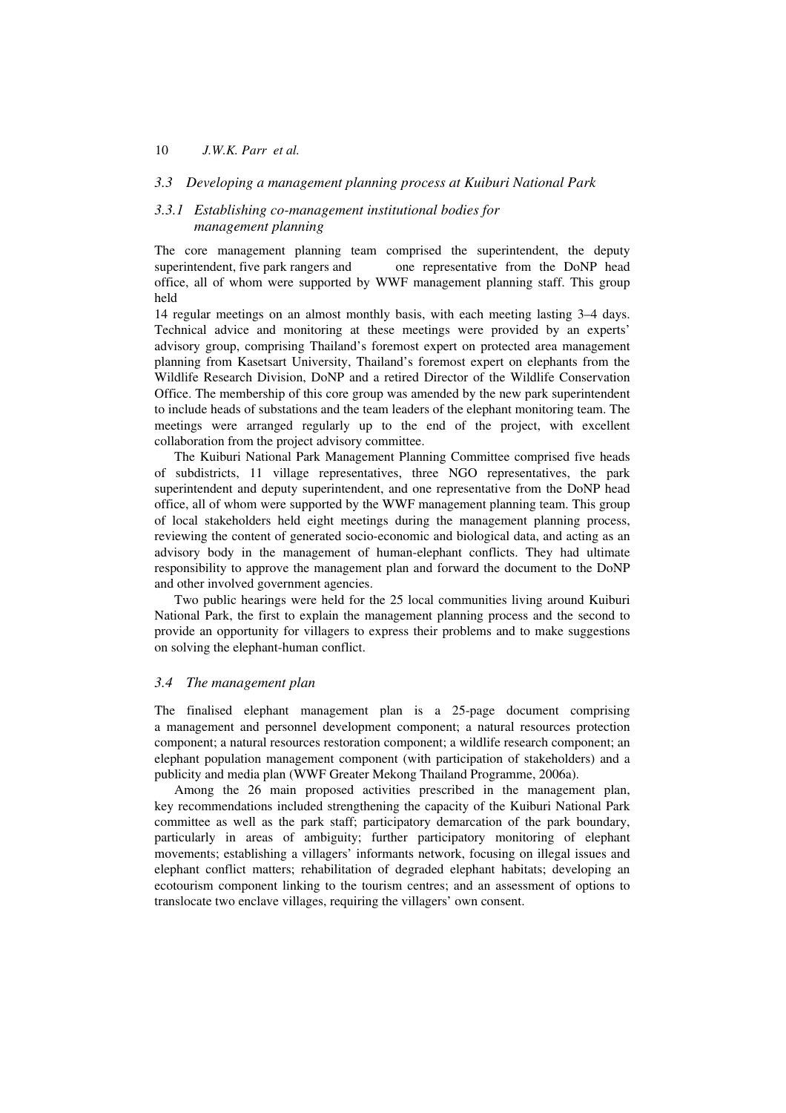### *3.3 Developing a management planning process at Kuiburi National Park*

# *3.3.1 Establishing co-management institutional bodies for management planning*

The core management planning team comprised the superintendent, the deputy superintendent, five park rangers and one representative from the DoNP head office, all of whom were supported by WWF management planning staff. This group held

14 regular meetings on an almost monthly basis, with each meeting lasting 3–4 days. Technical advice and monitoring at these meetings were provided by an experts' advisory group, comprising Thailand's foremost expert on protected area management planning from Kasetsart University, Thailand's foremost expert on elephants from the Wildlife Research Division, DoNP and a retired Director of the Wildlife Conservation Office. The membership of this core group was amended by the new park superintendent to include heads of substations and the team leaders of the elephant monitoring team. The meetings were arranged regularly up to the end of the project, with excellent collaboration from the project advisory committee.

The Kuiburi National Park Management Planning Committee comprised five heads of subdistricts, 11 village representatives, three NGO representatives, the park superintendent and deputy superintendent, and one representative from the DoNP head office, all of whom were supported by the WWF management planning team. This group of local stakeholders held eight meetings during the management planning process, reviewing the content of generated socio-economic and biological data, and acting as an advisory body in the management of human-elephant conflicts. They had ultimate responsibility to approve the management plan and forward the document to the DoNP and other involved government agencies.

Two public hearings were held for the 25 local communities living around Kuiburi National Park, the first to explain the management planning process and the second to provide an opportunity for villagers to express their problems and to make suggestions on solving the elephant-human conflict.

### *3.4 The management plan*

The finalised elephant management plan is a 25-page document comprising a management and personnel development component; a natural resources protection component; a natural resources restoration component; a wildlife research component; an elephant population management component (with participation of stakeholders) and a publicity and media plan (WWF Greater Mekong Thailand Programme, 2006a).

Among the 26 main proposed activities prescribed in the management plan, key recommendations included strengthening the capacity of the Kuiburi National Park committee as well as the park staff; participatory demarcation of the park boundary, particularly in areas of ambiguity; further participatory monitoring of elephant movements; establishing a villagers' informants network, focusing on illegal issues and elephant conflict matters; rehabilitation of degraded elephant habitats; developing an ecotourism component linking to the tourism centres; and an assessment of options to translocate two enclave villages, requiring the villagers' own consent.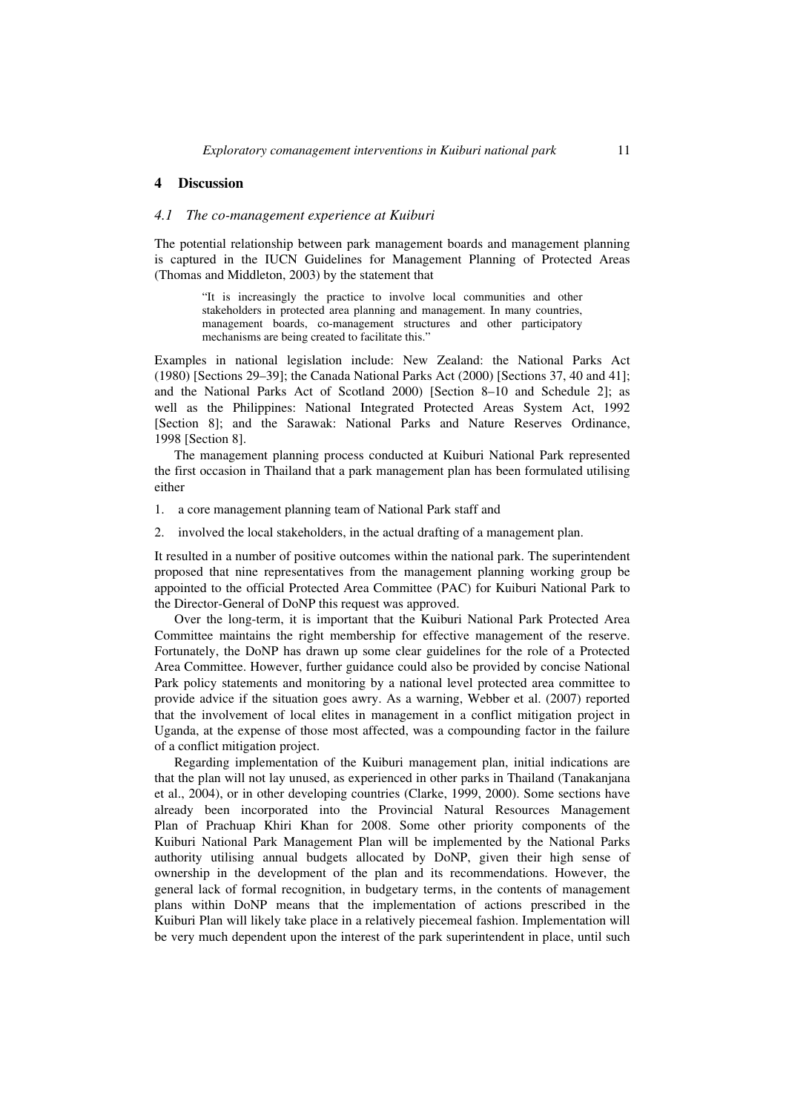# **4 Discussion**

### *4.1 The co-management experience at Kuiburi*

The potential relationship between park management boards and management planning is captured in the IUCN Guidelines for Management Planning of Protected Areas (Thomas and Middleton, 2003) by the statement that

"It is increasingly the practice to involve local communities and other stakeholders in protected area planning and management. In many countries, management boards, co-management structures and other participatory mechanisms are being created to facilitate this."

Examples in national legislation include: New Zealand: the National Parks Act (1980) [Sections 29–39]; the Canada National Parks Act (2000) [Sections 37, 40 and 41]; and the National Parks Act of Scotland 2000) [Section 8–10 and Schedule 2]; as well as the Philippines: National Integrated Protected Areas System Act, 1992 [Section 8]; and the Sarawak: National Parks and Nature Reserves Ordinance, 1998 [Section 8].

The management planning process conducted at Kuiburi National Park represented the first occasion in Thailand that a park management plan has been formulated utilising either

1. a core management planning team of National Park staff and

2. involved the local stakeholders, in the actual drafting of a management plan.

It resulted in a number of positive outcomes within the national park. The superintendent proposed that nine representatives from the management planning working group be appointed to the official Protected Area Committee (PAC) for Kuiburi National Park to the Director-General of DoNP this request was approved.

Over the long-term, it is important that the Kuiburi National Park Protected Area Committee maintains the right membership for effective management of the reserve. Fortunately, the DoNP has drawn up some clear guidelines for the role of a Protected Area Committee. However, further guidance could also be provided by concise National Park policy statements and monitoring by a national level protected area committee to provide advice if the situation goes awry. As a warning, Webber et al. (2007) reported that the involvement of local elites in management in a conflict mitigation project in Uganda, at the expense of those most affected, was a compounding factor in the failure of a conflict mitigation project.

Regarding implementation of the Kuiburi management plan, initial indications are that the plan will not lay unused, as experienced in other parks in Thailand (Tanakanjana et al., 2004), or in other developing countries (Clarke, 1999, 2000). Some sections have already been incorporated into the Provincial Natural Resources Management Plan of Prachuap Khiri Khan for 2008. Some other priority components of the Kuiburi National Park Management Plan will be implemented by the National Parks authority utilising annual budgets allocated by DoNP, given their high sense of ownership in the development of the plan and its recommendations. However, the general lack of formal recognition, in budgetary terms, in the contents of management plans within DoNP means that the implementation of actions prescribed in the Kuiburi Plan will likely take place in a relatively piecemeal fashion. Implementation will be very much dependent upon the interest of the park superintendent in place, until such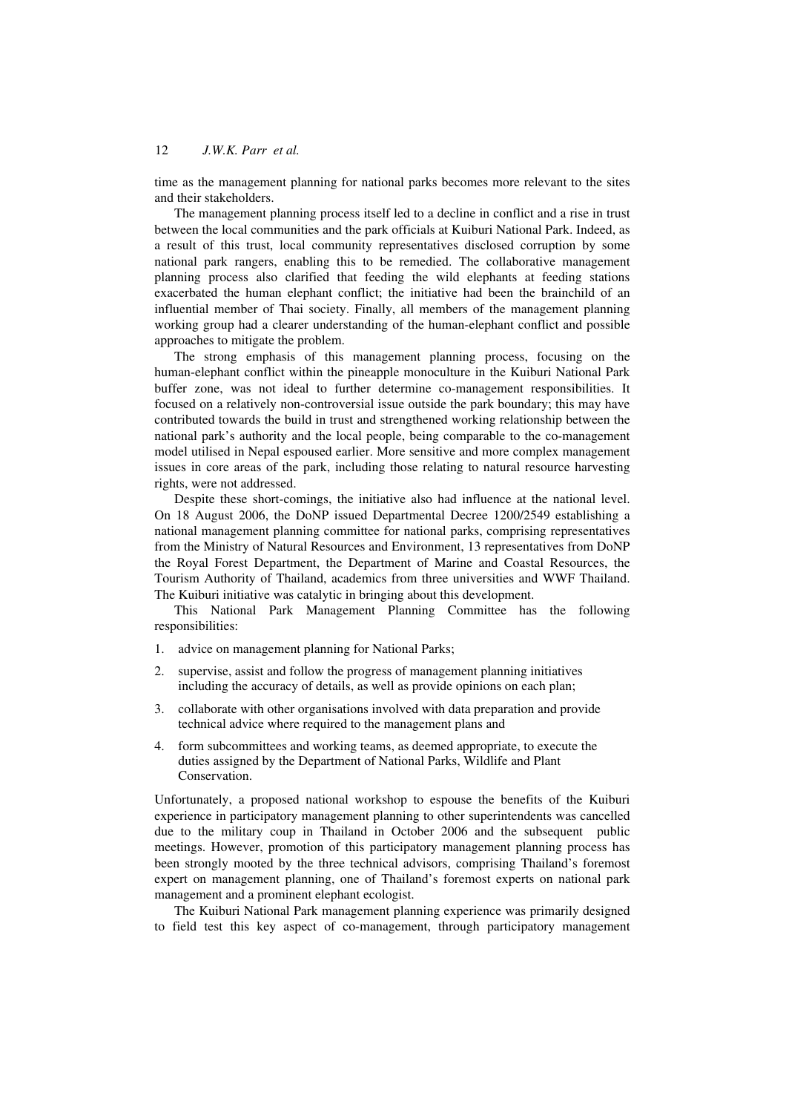time as the management planning for national parks becomes more relevant to the sites and their stakeholders.

The management planning process itself led to a decline in conflict and a rise in trust between the local communities and the park officials at Kuiburi National Park. Indeed, as a result of this trust, local community representatives disclosed corruption by some national park rangers, enabling this to be remedied. The collaborative management planning process also clarified that feeding the wild elephants at feeding stations exacerbated the human elephant conflict; the initiative had been the brainchild of an influential member of Thai society. Finally, all members of the management planning working group had a clearer understanding of the human-elephant conflict and possible approaches to mitigate the problem.

The strong emphasis of this management planning process, focusing on the human-elephant conflict within the pineapple monoculture in the Kuiburi National Park buffer zone, was not ideal to further determine co-management responsibilities. It focused on a relatively non-controversial issue outside the park boundary; this may have contributed towards the build in trust and strengthened working relationship between the national park's authority and the local people, being comparable to the co-management model utilised in Nepal espoused earlier. More sensitive and more complex management issues in core areas of the park, including those relating to natural resource harvesting rights, were not addressed.

Despite these short-comings, the initiative also had influence at the national level. On 18 August 2006, the DoNP issued Departmental Decree 1200/2549 establishing a national management planning committee for national parks, comprising representatives from the Ministry of Natural Resources and Environment, 13 representatives from DoNP the Royal Forest Department, the Department of Marine and Coastal Resources, the Tourism Authority of Thailand, academics from three universities and WWF Thailand. The Kuiburi initiative was catalytic in bringing about this development.

This National Park Management Planning Committee has the following responsibilities:

- 1. advice on management planning for National Parks;
- 2. supervise, assist and follow the progress of management planning initiatives including the accuracy of details, as well as provide opinions on each plan;
- 3. collaborate with other organisations involved with data preparation and provide technical advice where required to the management plans and
- 4. form subcommittees and working teams, as deemed appropriate, to execute the duties assigned by the Department of National Parks, Wildlife and Plant Conservation.

Unfortunately, a proposed national workshop to espouse the benefits of the Kuiburi experience in participatory management planning to other superintendents was cancelled due to the military coup in Thailand in October 2006 and the subsequent public meetings. However, promotion of this participatory management planning process has been strongly mooted by the three technical advisors, comprising Thailand's foremost expert on management planning, one of Thailand's foremost experts on national park management and a prominent elephant ecologist.

The Kuiburi National Park management planning experience was primarily designed to field test this key aspect of co-management, through participatory management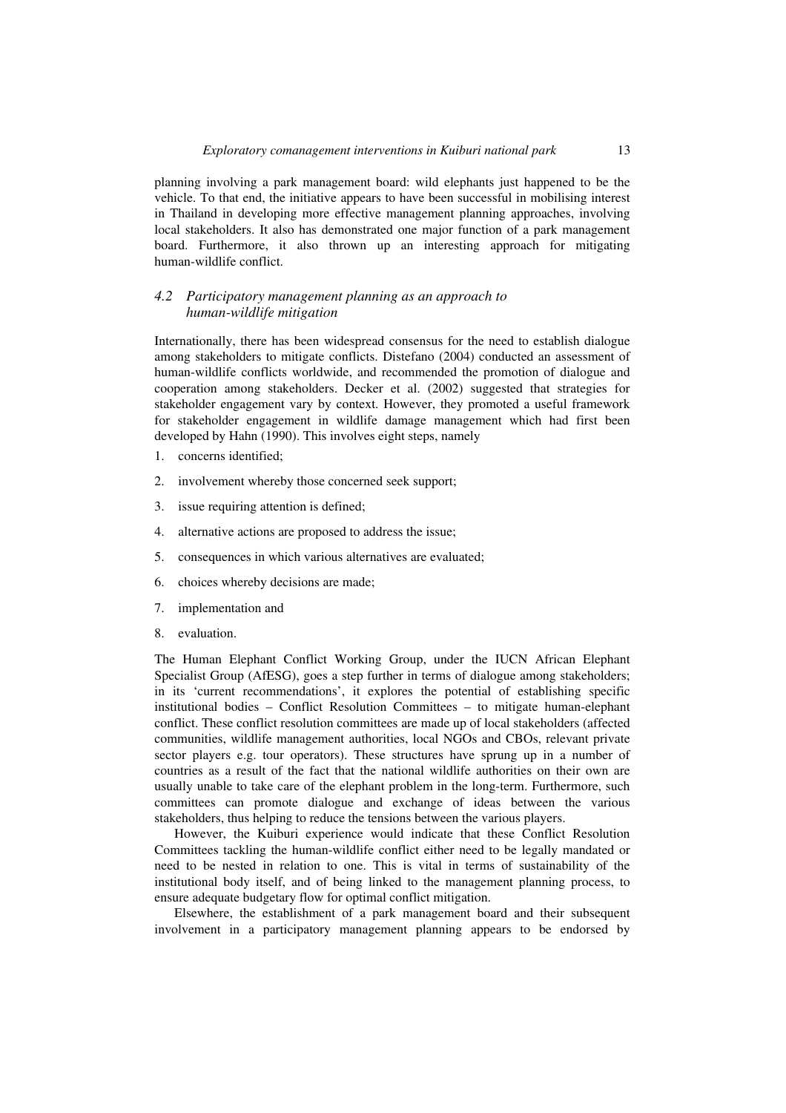planning involving a park management board: wild elephants just happened to be the vehicle. To that end, the initiative appears to have been successful in mobilising interest in Thailand in developing more effective management planning approaches, involving local stakeholders. It also has demonstrated one major function of a park management board. Furthermore, it also thrown up an interesting approach for mitigating human-wildlife conflict.

# *4.2 Participatory management planning as an approach to human-wildlife mitigation*

Internationally, there has been widespread consensus for the need to establish dialogue among stakeholders to mitigate conflicts. Distefano (2004) conducted an assessment of human-wildlife conflicts worldwide, and recommended the promotion of dialogue and cooperation among stakeholders. Decker et al. (2002) suggested that strategies for stakeholder engagement vary by context. However, they promoted a useful framework for stakeholder engagement in wildlife damage management which had first been developed by Hahn (1990). This involves eight steps, namely

- 1. concerns identified;
- 2. involvement whereby those concerned seek support;
- 3. issue requiring attention is defined;
- 4. alternative actions are proposed to address the issue;
- 5. consequences in which various alternatives are evaluated;
- 6. choices whereby decisions are made;
- 7. implementation and
- 8. evaluation.

The Human Elephant Conflict Working Group, under the IUCN African Elephant Specialist Group (AfESG), goes a step further in terms of dialogue among stakeholders; in its 'current recommendations', it explores the potential of establishing specific institutional bodies – Conflict Resolution Committees – to mitigate human-elephant conflict. These conflict resolution committees are made up of local stakeholders (affected communities, wildlife management authorities, local NGOs and CBOs, relevant private sector players e.g. tour operators). These structures have sprung up in a number of countries as a result of the fact that the national wildlife authorities on their own are usually unable to take care of the elephant problem in the long-term. Furthermore, such committees can promote dialogue and exchange of ideas between the various stakeholders, thus helping to reduce the tensions between the various players.

However, the Kuiburi experience would indicate that these Conflict Resolution Committees tackling the human-wildlife conflict either need to be legally mandated or need to be nested in relation to one. This is vital in terms of sustainability of the institutional body itself, and of being linked to the management planning process, to ensure adequate budgetary flow for optimal conflict mitigation.

Elsewhere, the establishment of a park management board and their subsequent involvement in a participatory management planning appears to be endorsed by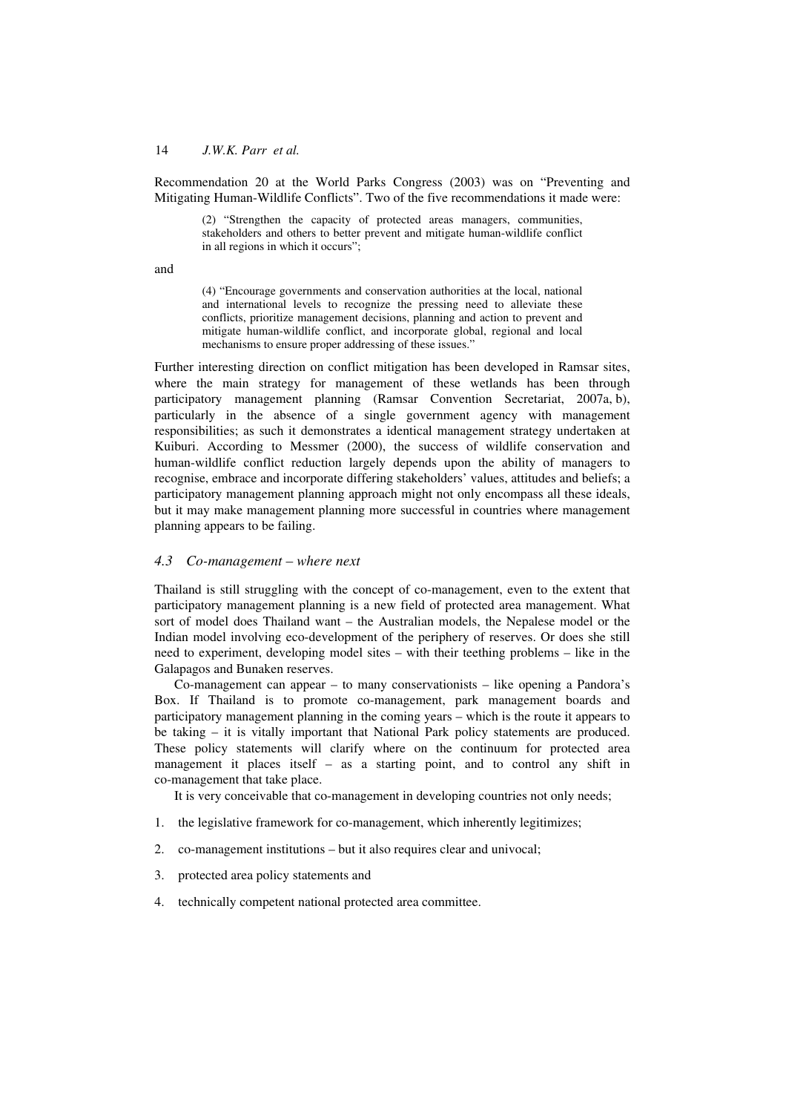Recommendation 20 at the World Parks Congress (2003) was on "Preventing and Mitigating Human-Wildlife Conflicts". Two of the five recommendations it made were:

(2) "Strengthen the capacity of protected areas managers, communities, stakeholders and others to better prevent and mitigate human-wildlife conflict in all regions in which it occurs";

and

(4) "Encourage governments and conservation authorities at the local, national and international levels to recognize the pressing need to alleviate these conflicts, prioritize management decisions, planning and action to prevent and mitigate human-wildlife conflict, and incorporate global, regional and local mechanisms to ensure proper addressing of these issues."

Further interesting direction on conflict mitigation has been developed in Ramsar sites, where the main strategy for management of these wetlands has been through participatory management planning (Ramsar Convention Secretariat, 2007a, b), particularly in the absence of a single government agency with management responsibilities; as such it demonstrates a identical management strategy undertaken at Kuiburi. According to Messmer (2000), the success of wildlife conservation and human-wildlife conflict reduction largely depends upon the ability of managers to recognise, embrace and incorporate differing stakeholders' values, attitudes and beliefs; a participatory management planning approach might not only encompass all these ideals, but it may make management planning more successful in countries where management planning appears to be failing.

## *4.3 Co-management – where next*

Thailand is still struggling with the concept of co-management, even to the extent that participatory management planning is a new field of protected area management. What sort of model does Thailand want – the Australian models, the Nepalese model or the Indian model involving eco-development of the periphery of reserves. Or does she still need to experiment, developing model sites – with their teething problems – like in the Galapagos and Bunaken reserves.

Co-management can appear – to many conservationists – like opening a Pandora's Box. If Thailand is to promote co-management, park management boards and participatory management planning in the coming years – which is the route it appears to be taking – it is vitally important that National Park policy statements are produced. These policy statements will clarify where on the continuum for protected area management it places itself – as a starting point, and to control any shift in co-management that take place.

It is very conceivable that co-management in developing countries not only needs;

- 1. the legislative framework for co-management, which inherently legitimizes;
- 2. co-management institutions but it also requires clear and univocal;
- 3. protected area policy statements and
- 4. technically competent national protected area committee.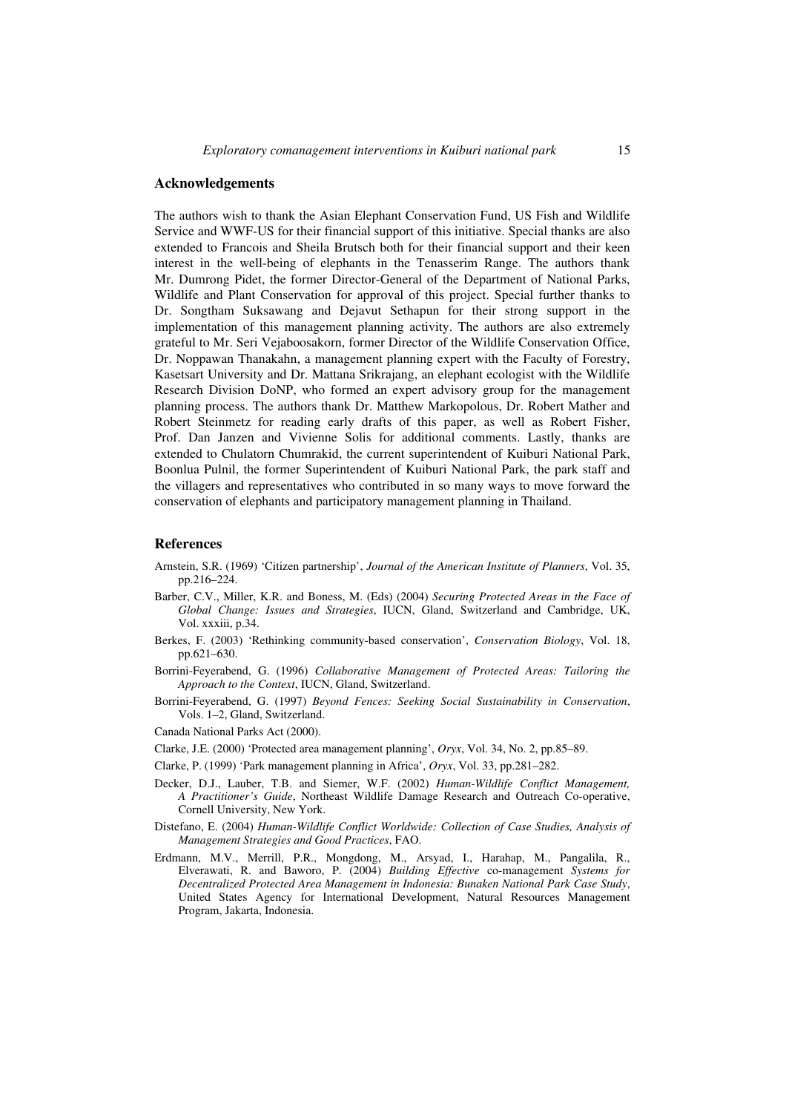### **Acknowledgements**

The authors wish to thank the Asian Elephant Conservation Fund, US Fish and Wildlife Service and WWF-US for their financial support of this initiative. Special thanks are also extended to Francois and Sheila Brutsch both for their financial support and their keen interest in the well-being of elephants in the Tenasserim Range. The authors thank Mr. Dumrong Pidet, the former Director-General of the Department of National Parks, Wildlife and Plant Conservation for approval of this project. Special further thanks to Dr. Songtham Suksawang and Dejavut Sethapun for their strong support in the implementation of this management planning activity. The authors are also extremely grateful to Mr. Seri Vejaboosakorn, former Director of the Wildlife Conservation Office, Dr. Noppawan Thanakahn, a management planning expert with the Faculty of Forestry, Kasetsart University and Dr. Mattana Srikrajang, an elephant ecologist with the Wildlife Research Division DoNP, who formed an expert advisory group for the management planning process. The authors thank Dr. Matthew Markopolous, Dr. Robert Mather and Robert Steinmetz for reading early drafts of this paper, as well as Robert Fisher, Prof. Dan Janzen and Vivienne Solis for additional comments. Lastly, thanks are extended to Chulatorn Chumrakid, the current superintendent of Kuiburi National Park, Boonlua Pulnil, the former Superintendent of Kuiburi National Park, the park staff and the villagers and representatives who contributed in so many ways to move forward the conservation of elephants and participatory management planning in Thailand.

#### **References**

- Arnstein, S.R. (1969) 'Citizen partnership', *Journal of the American Institute of Planners*, Vol. 35, pp.216–224.
- Barber, C.V., Miller, K.R. and Boness, M. (Eds) (2004) *Securing Protected Areas in the Face of Global Change: Issues and Strategies*, IUCN, Gland, Switzerland and Cambridge, UK, Vol. xxxiii, p.34.
- Berkes, F. (2003) 'Rethinking community-based conservation', *Conservation Biology*, Vol. 18, pp.621–630.
- Borrini-Feyerabend, G. (1996) *Collaborative Management of Protected Areas: Tailoring the Approach to the Context*, IUCN, Gland, Switzerland.
- Borrini-Feyerabend, G. (1997) *Beyond Fences: Seeking Social Sustainability in Conservation*, Vols. 1–2, Gland, Switzerland.
- Canada National Parks Act (2000).
- Clarke, J.E. (2000) 'Protected area management planning', *Oryx*, Vol. 34, No. 2, pp.85–89.
- Clarke, P. (1999) 'Park management planning in Africa', *Oryx*, Vol. 33, pp.281–282.
- Decker, D.J., Lauber, T.B. and Siemer, W.F. (2002) *Human-Wildlife Conflict Management, A Practitioner's Guide*, Northeast Wildlife Damage Research and Outreach Co-operative, Cornell University, New York.
- Distefano, E. (2004) *Human-Wildlife Conflict Worldwide: Collection of Case Studies, Analysis of Management Strategies and Good Practices*, FAO.
- Erdmann, M.V., Merrill, P.R., Mongdong, M., Arsyad, I., Harahap, M., Pangalila, R., Elverawati, R. and Baworo, P. (2004) *Building Effective* co-management *Systems for Decentralized Protected Area Management in Indonesia: Bunaken National Park Case Study*, United States Agency for International Development, Natural Resources Management Program, Jakarta, Indonesia.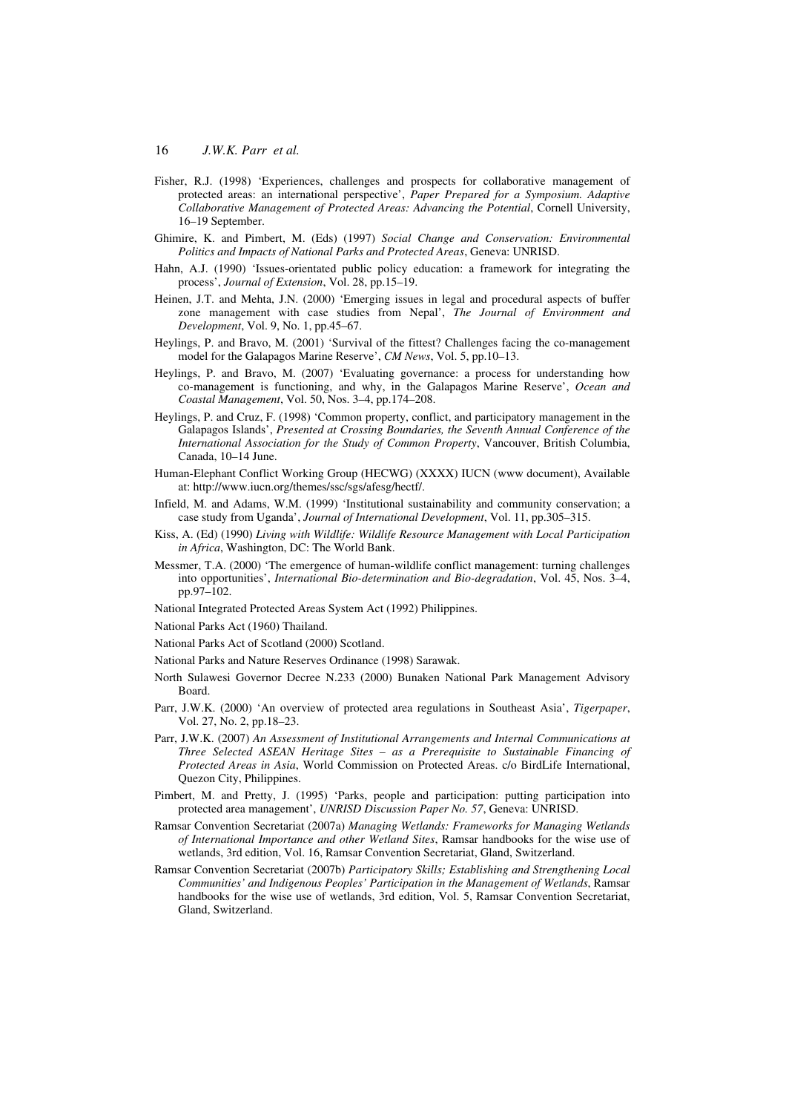- Fisher, R.J. (1998) 'Experiences, challenges and prospects for collaborative management of protected areas: an international perspective', *Paper Prepared for a Symposium. Adaptive Collaborative Management of Protected Areas: Advancing the Potential*, Cornell University, 16–19 September.
- Ghimire, K. and Pimbert, M. (Eds) (1997) *Social Change and Conservation: Environmental Politics and Impacts of National Parks and Protected Areas*, Geneva: UNRISD.
- Hahn, A.J. (1990) 'Issues-orientated public policy education: a framework for integrating the process', *Journal of Extension*, Vol. 28, pp.15–19.
- Heinen, J.T. and Mehta, J.N. (2000) 'Emerging issues in legal and procedural aspects of buffer zone management with case studies from Nepal', *The Journal of Environment and Development*, Vol. 9, No. 1, pp.45–67.
- Heylings, P. and Bravo, M. (2001) 'Survival of the fittest? Challenges facing the co-management model for the Galapagos Marine Reserve', *CM News*, Vol. 5, pp.10–13.
- Heylings, P. and Bravo, M. (2007) 'Evaluating governance: a process for understanding how co-management is functioning, and why, in the Galapagos Marine Reserve', *Ocean and Coastal Management*, Vol. 50, Nos. 3–4, pp.174–208.
- Heylings, P. and Cruz, F. (1998) 'Common property, conflict, and participatory management in the Galapagos Islands', *Presented at Crossing Boundaries, the Seventh Annual Conference of the International Association for the Study of Common Property*, Vancouver, British Columbia, Canada, 10–14 June.
- Human-Elephant Conflict Working Group (HECWG) (XXXX) IUCN (www document), Available at: http://www.iucn.org/themes/ssc/sgs/afesg/hectf/.
- Infield, M. and Adams, W.M. (1999) 'Institutional sustainability and community conservation; a case study from Uganda', *Journal of International Development*, Vol. 11, pp.305–315.
- Kiss, A. (Ed) (1990) *Living with Wildlife: Wildlife Resource Management with Local Participation in Africa*, Washington, DC: The World Bank.
- Messmer, T.A. (2000) 'The emergence of human-wildlife conflict management: turning challenges into opportunities', *International Bio-determination and Bio-degradation*, Vol. 45, Nos. 3–4, pp.97–102.
- National Integrated Protected Areas System Act (1992) Philippines.
- National Parks Act (1960) Thailand.
- National Parks Act of Scotland (2000) Scotland.
- National Parks and Nature Reserves Ordinance (1998) Sarawak.
- North Sulawesi Governor Decree N.233 (2000) Bunaken National Park Management Advisory Board.
- Parr, J.W.K. (2000) 'An overview of protected area regulations in Southeast Asia', *Tigerpaper*, Vol. 27, No. 2, pp.18–23.
- Parr, J.W.K. (2007) *An Assessment of Institutional Arrangements and Internal Communications at Three Selected ASEAN Heritage Sites – as a Prerequisite to Sustainable Financing of Protected Areas in Asia*, World Commission on Protected Areas. c/o BirdLife International, Quezon City, Philippines.
- Pimbert, M. and Pretty, J. (1995) 'Parks, people and participation: putting participation into protected area management', *UNRISD Discussion Paper No. 57*, Geneva: UNRISD.
- Ramsar Convention Secretariat (2007a) *Managing Wetlands: Frameworks for Managing Wetlands of International Importance and other Wetland Sites*, Ramsar handbooks for the wise use of wetlands, 3rd edition, Vol. 16, Ramsar Convention Secretariat, Gland, Switzerland.
- Ramsar Convention Secretariat (2007b) *Participatory Skills; Establishing and Strengthening Local Communities' and Indigenous Peoples' Participation in the Management of Wetlands*, Ramsar handbooks for the wise use of wetlands, 3rd edition, Vol. 5, Ramsar Convention Secretariat, Gland, Switzerland.